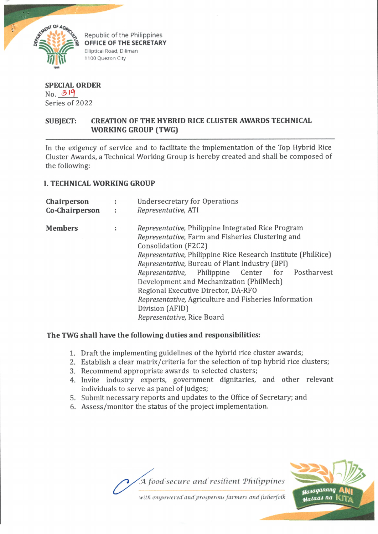

Republic of the Philippines **OFFICE OF THE SECRETARY Elliptical Road, Diliman** 1100 Quezon City

**SPECIAL ORDER** *No. A ll.* Series of 2022

# **SUBJECT: CREATION OF THE HYBRID RICE CLUSTER AWARDS TECHNICAL WORKING GROUP (TWG)**

In the exigency of service and to facilitate the implementation of the Top Hybrid Rice Cluster Awards, a Technical Working Group is hereby created and shall be composed of the following:

## **I. TECHNICAL WORKING GROUP**

| Chairperson    |   | <b>Undersecretary for Operations</b>                          |
|----------------|---|---------------------------------------------------------------|
| Co-Chairperson | ÷ | Representative, ATI                                           |
| <b>Members</b> | t | Representative, Philippine Integrated Rice Program            |
|                |   | Representative, Farm and Fisheries Clustering and             |
|                |   | Consolidation (F2C2)                                          |
|                |   | Representative, Philippine Rice Research Institute (PhilRice) |
|                |   | Representative, Bureau of Plant Industry (BPI)                |
|                |   | Representative, Philippine Center for Postharvest             |
|                |   | Development and Mechanization (PhilMech)                      |
|                |   | Regional Executive Director, DA-RFO                           |
|                |   | Representative, Agriculture and Fisheries Information         |
|                |   | Division (AFID)                                               |
|                |   | Representative, Rice Board                                    |

## **The TWG shall have the following duties and responsibilities:**

- 1. Draft the implementing guidelines of the hybrid rice cluster awards;
- 2. Establish a clear matrix/criteria for the selection of top hybrid rice clusters;
- 3. Recommend appropriate awards to selected clusters;
- 4. Invite industry experts, government dignitaries, and other relevant individuals to serve as panel of judges;
- 5. Submit necessary reports and updates to the Office of Secretary; and
- 6. Assess/monitor the status of the project implementation.



with empowered and prosperous farmers and fisherfolk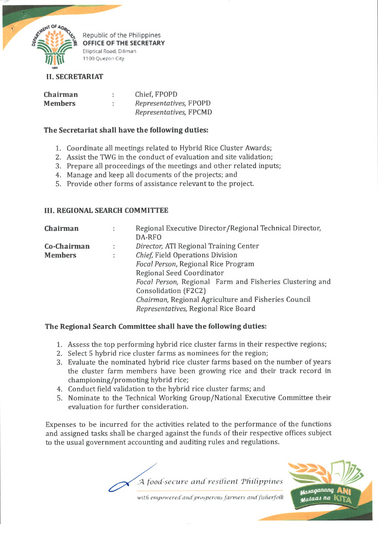

Republic of the Philippines **OFFICE OF THE SECRETARY Elliptical Road, Diliman** 1100 Quezon City

## **II. SECRETARIAT**

| Chairman       |   | Chief, FPOPD           |
|----------------|---|------------------------|
| <b>Members</b> | ÷ | Representatives, FPOPD |
|                |   | Representatives, FPCMD |

## **The Secretariat shall have the following duties:**

- 1. Coordinate all meetings related to Hybrid Rice Cluster Awards;
- 2. Assist the TWG in the conduct of evaluation and site validation;
- 3. Prepare all proceedings of the meetings and other related inputs;
- 4. Manage and keep all documents of the projects; and
- 5. Provide other forms of assistance relevant to the project.

## **III. REGIONAL SEARCH COMMITTEE**

| Chairman       | ÷ | Regional Executive Director/Regional Technical Director, |  |  |
|----------------|---|----------------------------------------------------------|--|--|
|                |   | DA-RFO                                                   |  |  |
| Co-Chairman    | ÷ | Director, ATI Regional Training Center                   |  |  |
| <b>Members</b> | ÷ | Chief, Field Operations Division                         |  |  |
|                |   | Focal Person, Regional Rice Program                      |  |  |
|                |   | Regional Seed Coordinator                                |  |  |
|                |   | Focal Person, Regional Farm and Fisheries Clustering and |  |  |
|                |   | Consolidation (F2C2)                                     |  |  |
|                |   | Chairman, Regional Agriculture and Fisheries Council     |  |  |
|                |   | Representatives, Regional Rice Board                     |  |  |

## **The Regional Search Committee shall have the following duties:**

- 1. Assess the top performing hybrid rice cluster farms in their respective regions;
- 2. Select 5 hybrid rice cluster farms as nominees for the region;
- 3. Evaluate the nominated hybrid rice cluster farms based on the number of years the cluster farm members have been growing rice and their track record in championing/promoting hybrid rice;
- 4. Conduct field validation to the hybrid rice cluster farms; and
- 5. Nominate to the Technical Working Group/National Executive Committee their evaluation for further consideration.

Expenses to be incurred for the activities related to the performance of the functions and assigned tasks shall be charged against the funds of their respective offices subject to the usual government accounting and auditing rules and regulations.

*.'A food-secure and resilient 'Philippines*Masaganang stalaas na

*with empowered'and'prosperous fanners and fisherfofk*